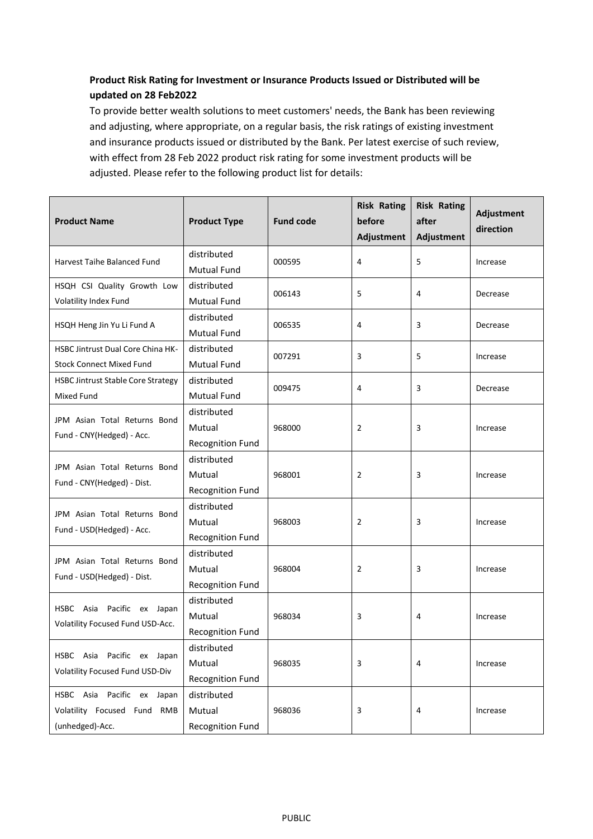## **Product Risk Rating for Investment or Insurance Products Issued or Distributed will be updated on 28 Feb2022**

To provide better wealth solutions to meet customers' needs, the Bank has been reviewing and adjusting, where appropriate, on a regular basis, the risk ratings of existing investment and insurance products issued or distributed by the Bank. Per latest exercise of such review, with effect from 28 Feb 2022 product risk rating for some investment products will be adjusted. Please refer to the following product list for details:

| <b>Product Name</b>                                                          | <b>Product Type</b>                              | <b>Fund code</b> | <b>Risk Rating</b><br>before<br>Adjustment | <b>Risk Rating</b><br>after<br>Adjustment | Adjustment<br>direction |
|------------------------------------------------------------------------------|--------------------------------------------------|------------------|--------------------------------------------|-------------------------------------------|-------------------------|
| Harvest Taihe Balanced Fund                                                  | distributed<br><b>Mutual Fund</b>                | 000595           | 4                                          | 5                                         | Increase                |
| HSQH CSI Quality Growth Low<br>Volatility Index Fund                         | distributed<br><b>Mutual Fund</b>                | 006143           | 5                                          | 4                                         | Decrease                |
| HSQH Heng Jin Yu Li Fund A                                                   | distributed<br><b>Mutual Fund</b>                | 006535           | 4                                          | 3                                         | Decrease                |
| <b>HSBC Jintrust Dual Core China HK-</b><br><b>Stock Connect Mixed Fund</b>  | distributed<br><b>Mutual Fund</b>                | 007291           | 3                                          | 5                                         | Increase                |
| <b>HSBC Jintrust Stable Core Strategy</b><br>Mixed Fund                      | distributed<br><b>Mutual Fund</b>                | 009475           | 4                                          | 3                                         | Decrease                |
| JPM Asian Total Returns Bond<br>Fund - CNY(Hedged) - Acc.                    | distributed<br>Mutual<br><b>Recognition Fund</b> | 968000           | 2                                          | 3                                         | Increase                |
| JPM Asian Total Returns Bond<br>Fund - CNY(Hedged) - Dist.                   | distributed<br>Mutual<br><b>Recognition Fund</b> | 968001           | 2                                          | 3                                         | Increase                |
| JPM Asian Total Returns Bond<br>Fund - USD(Hedged) - Acc.                    | distributed<br>Mutual<br><b>Recognition Fund</b> | 968003           | 2                                          | 3                                         | Increase                |
| JPM Asian Total Returns Bond<br>Fund - USD(Hedged) - Dist.                   | distributed<br>Mutual<br>Recognition Fund        | 968004           | 2                                          | 3                                         | Increase                |
| Pacific ex Japan<br>HSBC Asia<br>Volatility Focused Fund USD-Acc.            | distributed<br>Mutual<br><b>Recognition Fund</b> | 968034           | 3                                          | 4                                         | Increase                |
| HSBC Asia Pacific ex Japan<br>Volatility Focused Fund USD-Div                | distributed<br>Mutual<br>Recognition Fund        | 968035           | 3                                          | 4                                         | Increase                |
| HSBC Asia Pacific ex Japan<br>Volatility Focused Fund RMB<br>(unhedged)-Acc. | distributed<br>Mutual<br>Recognition Fund        | 968036           | 3                                          | 4                                         | Increase                |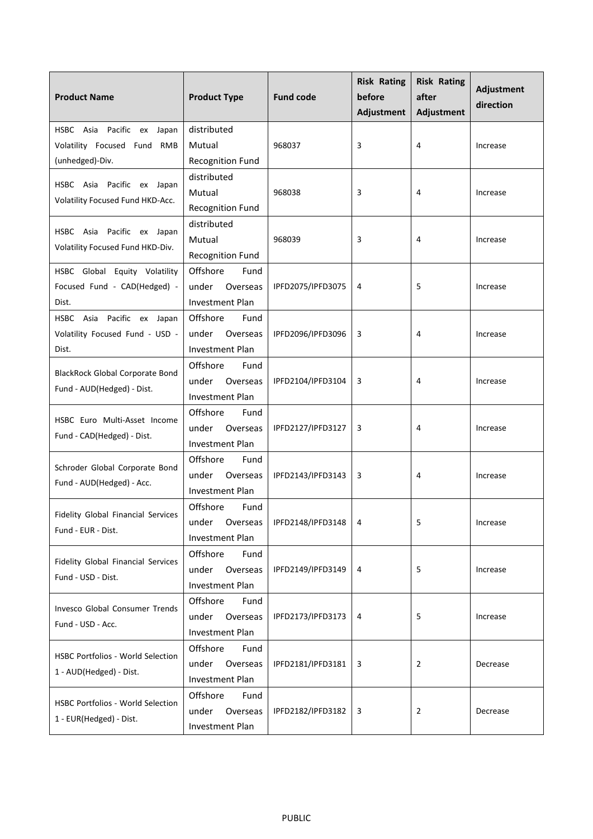| <b>Product Name</b>                                                          | <b>Product Type</b>                                             | <b>Fund code</b>    | <b>Risk Rating</b><br>before<br>Adjustment | <b>Risk Rating</b><br>after<br>Adjustment | Adjustment<br>direction |
|------------------------------------------------------------------------------|-----------------------------------------------------------------|---------------------|--------------------------------------------|-------------------------------------------|-------------------------|
| HSBC Asia Pacific ex Japan<br>Volatility Focused Fund RMB<br>(unhedged)-Div. | distributed<br>Mutual<br><b>Recognition Fund</b>                | 968037              | 3                                          | 4                                         | Increase                |
| HSBC Asia Pacific ex Japan<br>Volatility Focused Fund HKD-Acc.               | distributed<br>Mutual<br><b>Recognition Fund</b>                | 968038              | 3                                          | 4                                         | Increase                |
| HSBC Asia Pacific ex Japan<br>Volatility Focused Fund HKD-Div.               | distributed<br>Mutual<br><b>Recognition Fund</b>                | 968039              | 3                                          | 4                                         | Increase                |
| HSBC Global Equity Volatility<br>Focused Fund - CAD(Hedged) -<br>Dist.       | Offshore<br>Fund<br>under<br>Overseas<br><b>Investment Plan</b> | IPFD2075/IPFD3075   | 4                                          | 5                                         | Increase                |
| HSBC Asia Pacific ex Japan<br>Volatility Focused Fund - USD -<br>Dist.       | Offshore<br>Fund<br>under<br>Overseas<br><b>Investment Plan</b> | IPFD2096/IPFD3096   | 3                                          | 4                                         | Increase                |
| <b>BlackRock Global Corporate Bond</b><br>Fund - AUD(Hedged) - Dist.         | Offshore<br>Fund<br>Overseas<br>under<br><b>Investment Plan</b> | IPFD2104/IPFD3104   | 3                                          | 4                                         | Increase                |
| HSBC Euro Multi-Asset Income<br>Fund - CAD(Hedged) - Dist.                   | Offshore<br>Fund<br>under<br>Overseas<br>Investment Plan        | IPFD2127/IPFD3127   | 3                                          | 4                                         | Increase                |
| Schroder Global Corporate Bond<br>Fund - AUD(Hedged) - Acc.                  | Offshore<br>Fund<br>under<br>Overseas<br><b>Investment Plan</b> | IPFD2143/IPFD3143   | 3                                          | 4                                         | Increase                |
| Fidelity Global Financial Services<br>Fund - EUR - Dist.                     | Offshore<br>Fund<br>under<br>Overseas<br><b>Investment Plan</b> | IPFD2148/IPFD3148 4 |                                            | 5                                         | Increase                |
| Fidelity Global Financial Services<br>Fund - USD - Dist.                     | Offshore<br>Fund<br>under<br>Overseas<br>Investment Plan        | IPFD2149/IPFD3149   | 4                                          | 5                                         | Increase                |
| <b>Invesco Global Consumer Trends</b><br>Fund - USD - Acc.                   | Offshore<br>Fund<br>under<br>Overseas<br>Investment Plan        | IPFD2173/IPFD3173   | 4                                          | 5                                         | Increase                |
| HSBC Portfolios - World Selection<br>1 - AUD(Hedged) - Dist.                 | Offshore<br>Fund<br>under<br>Overseas<br>Investment Plan        | IPFD2181/IPFD3181   | 3                                          | 2                                         | Decrease                |
| <b>HSBC Portfolios - World Selection</b><br>1 - EUR(Hedged) - Dist.          | Offshore<br>Fund<br>under<br>Overseas<br>Investment Plan        | IPFD2182/IPFD3182   | 3                                          | $\overline{2}$                            | Decrease                |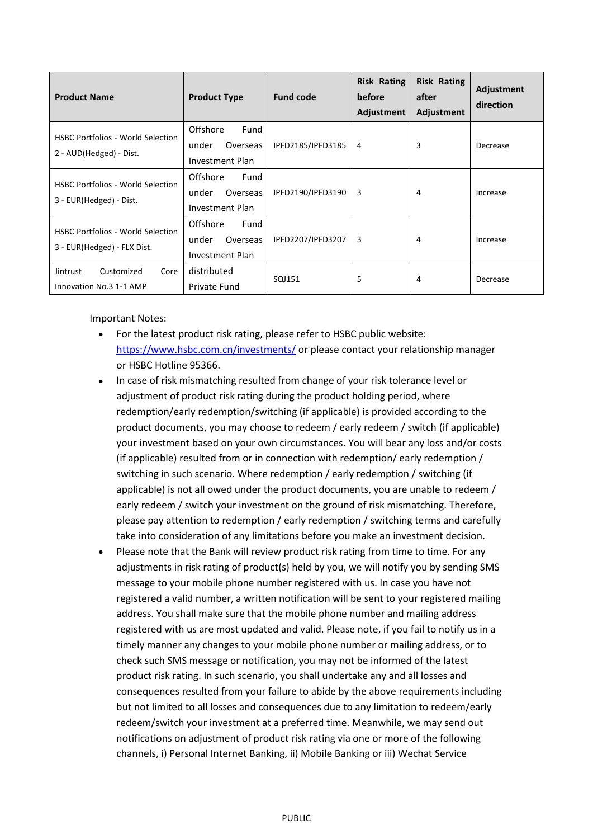| <b>Product Name</b>                                                     | <b>Product Type</b>                                             | <b>Fund code</b>  | <b>Risk Rating</b><br>before<br>Adjustment | <b>Risk Rating</b><br>after<br>Adjustment | Adjustment<br>direction |
|-------------------------------------------------------------------------|-----------------------------------------------------------------|-------------------|--------------------------------------------|-------------------------------------------|-------------------------|
| <b>HSBC Portfolios - World Selection</b><br>2 - AUD(Hedged) - Dist.     | Offshore<br>Fund<br>under<br>Overseas<br><b>Investment Plan</b> | IPFD2185/IPFD3185 | 4                                          | 3                                         | Decrease                |
| <b>HSBC Portfolios - World Selection</b><br>3 - EUR(Hedged) - Dist.     | Offshore<br>Fund<br>under<br>Overseas<br>Investment Plan        | IPFD2190/IPFD3190 | 3                                          | 4                                         | Increase                |
| <b>HSBC Portfolios - World Selection</b><br>3 - EUR(Hedged) - FLX Dist. | Offshore<br>Fund<br>under<br>Overseas<br>Investment Plan        | IPFD2207/IPFD3207 | 3                                          | 4                                         | Increase                |
| Customized<br>Core<br>Jintrust<br>Innovation No.3 1-1 AMP               | distributed<br>Private Fund                                     | SQJ151            | 5                                          | 4                                         | Decrease                |

Important Notes:

- For the latest product risk rating, please refer to HSBC public website: <https://www.hsbc.com.cn/investments/> or please contact your relationship manager or HSBC Hotline 95366.
- In case of risk mismatching resulted from change of your risk tolerance level or adjustment of product risk rating during the product holding period, where redemption/early redemption/switching (if applicable) is provided according to the product documents, you may choose to redeem / early redeem / switch (if applicable) your investment based on your own circumstances. You will bear any loss and/or costs (if applicable) resulted from or in connection with redemption/ early redemption / switching in such scenario. Where redemption / early redemption / switching (if applicable) is not all owed under the product documents, you are unable to redeem / early redeem / switch your investment on the ground of risk mismatching. Therefore, please pay attention to redemption / early redemption / switching terms and carefully take into consideration of any limitations before you make an investment decision.
- Please note that the Bank will review product risk rating from time to time. For any adjustments in risk rating of product(s) held by you, we will notify you by sending SMS message to your mobile phone number registered with us. In case you have not registered a valid number, a written notification will be sent to your registered mailing address. You shall make sure that the mobile phone number and mailing address registered with us are most updated and valid. Please note, if you fail to notify us in a timely manner any changes to your mobile phone number or mailing address, or to check such SMS message or notification, you may not be informed of the latest product risk rating. In such scenario, you shall undertake any and all losses and consequences resulted from your failure to abide by the above requirements including but not limited to all losses and consequences due to any limitation to redeem/early redeem/switch your investment at a preferred time. Meanwhile, we may send out notifications on adjustment of product risk rating via one or more of the following channels, i) Personal Internet Banking, ii) Mobile Banking or iii) Wechat Service